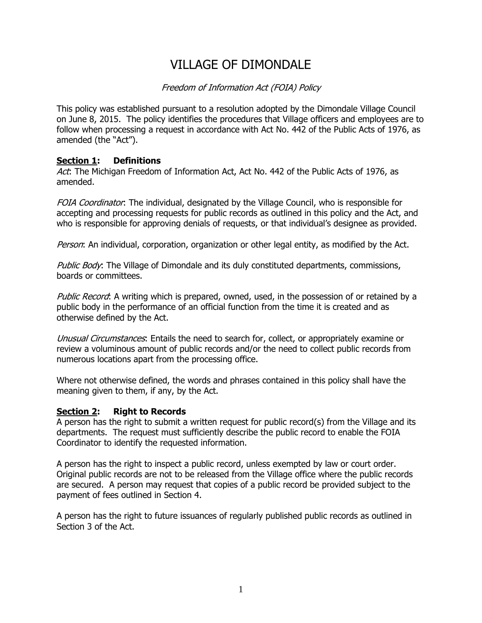# VILLAGE OF DIMONDALE

### Freedom of Information Act (FOIA) Policy

This policy was established pursuant to a resolution adopted by the Dimondale Village Council on June 8, 2015. The policy identifies the procedures that Village officers and employees are to follow when processing a request in accordance with Act No. 442 of the Public Acts of 1976, as amended (the "Act").

#### **Section 1: Definitions**

Act: The Michigan Freedom of Information Act, Act No. 442 of the Public Acts of 1976, as amended.

FOIA Coordinator: The individual, designated by the Village Council, who is responsible for accepting and processing requests for public records as outlined in this policy and the Act, and who is responsible for approving denials of requests, or that individual's designee as provided.

Person: An individual, corporation, organization or other legal entity, as modified by the Act.

Public Body: The Village of Dimondale and its duly constituted departments, commissions, boards or committees.

Public Record: A writing which is prepared, owned, used, in the possession of or retained by a public body in the performance of an official function from the time it is created and as otherwise defined by the Act.

Unusual Circumstances. Entails the need to search for, collect, or appropriately examine or review a voluminous amount of public records and/or the need to collect public records from numerous locations apart from the processing office.

Where not otherwise defined, the words and phrases contained in this policy shall have the meaning given to them, if any, by the Act.

#### **Section 2: Right to Records**

A person has the right to submit a written request for public record(s) from the Village and its departments. The request must sufficiently describe the public record to enable the FOIA Coordinator to identify the requested information.

A person has the right to inspect a public record, unless exempted by law or court order. Original public records are not to be released from the Village office where the public records are secured. A person may request that copies of a public record be provided subject to the payment of fees outlined in Section 4.

A person has the right to future issuances of regularly published public records as outlined in Section 3 of the Act.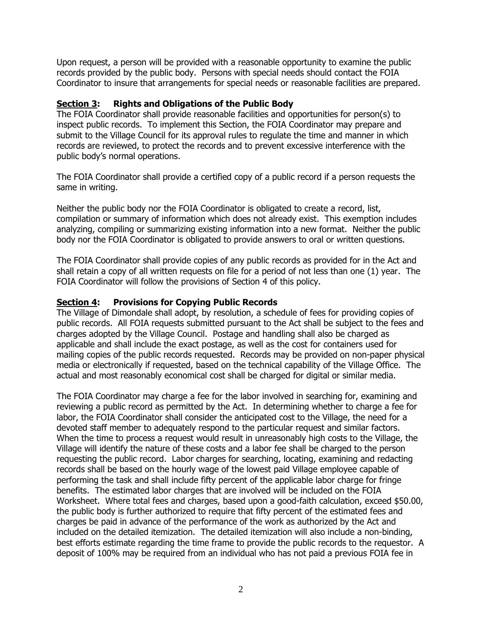Upon request, a person will be provided with a reasonable opportunity to examine the public records provided by the public body. Persons with special needs should contact the FOIA Coordinator to insure that arrangements for special needs or reasonable facilities are prepared.

#### **Section 3: Rights and Obligations of the Public Body**

The FOIA Coordinator shall provide reasonable facilities and opportunities for person(s) to inspect public records. To implement this Section, the FOIA Coordinator may prepare and submit to the Village Council for its approval rules to regulate the time and manner in which records are reviewed, to protect the records and to prevent excessive interference with the public body's normal operations.

The FOIA Coordinator shall provide a certified copy of a public record if a person requests the same in writing.

Neither the public body nor the FOIA Coordinator is obligated to create a record, list, compilation or summary of information which does not already exist. This exemption includes analyzing, compiling or summarizing existing information into a new format. Neither the public body nor the FOIA Coordinator is obligated to provide answers to oral or written questions.

The FOIA Coordinator shall provide copies of any public records as provided for in the Act and shall retain a copy of all written requests on file for a period of not less than one (1) year. The FOIA Coordinator will follow the provisions of Section 4 of this policy.

#### **Section 4: Provisions for Copying Public Records**

The Village of Dimondale shall adopt, by resolution, a schedule of fees for providing copies of public records. All FOIA requests submitted pursuant to the Act shall be subject to the fees and charges adopted by the Village Council. Postage and handling shall also be charged as applicable and shall include the exact postage, as well as the cost for containers used for mailing copies of the public records requested. Records may be provided on non-paper physical media or electronically if requested, based on the technical capability of the Village Office. The actual and most reasonably economical cost shall be charged for digital or similar media.

The FOIA Coordinator may charge a fee for the labor involved in searching for, examining and reviewing a public record as permitted by the Act. In determining whether to charge a fee for labor, the FOIA Coordinator shall consider the anticipated cost to the Village, the need for a devoted staff member to adequately respond to the particular request and similar factors. When the time to process a request would result in unreasonably high costs to the Village, the Village will identify the nature of these costs and a labor fee shall be charged to the person requesting the public record. Labor charges for searching, locating, examining and redacting records shall be based on the hourly wage of the lowest paid Village employee capable of performing the task and shall include fifty percent of the applicable labor charge for fringe benefits. The estimated labor charges that are involved will be included on the FOIA Worksheet. Where total fees and charges, based upon a good-faith calculation, exceed \$50.00, the public body is further authorized to require that fifty percent of the estimated fees and charges be paid in advance of the performance of the work as authorized by the Act and included on the detailed itemization. The detailed itemization will also include a non-binding, best efforts estimate regarding the time frame to provide the public records to the requestor. A deposit of 100% may be required from an individual who has not paid a previous FOIA fee in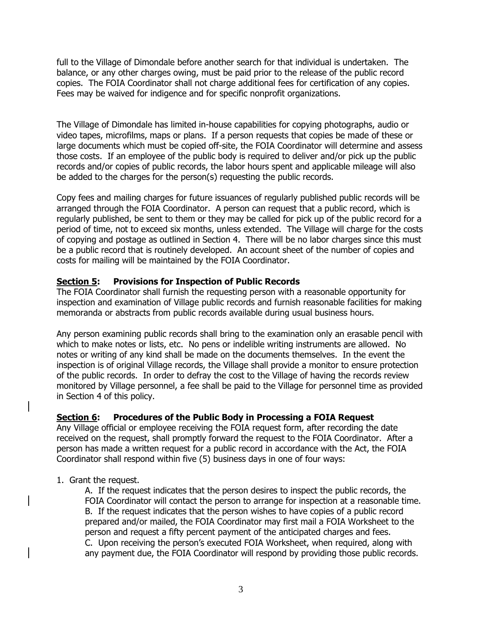full to the Village of Dimondale before another search for that individual is undertaken. The balance, or any other charges owing, must be paid prior to the release of the public record copies. The FOIA Coordinator shall not charge additional fees for certification of any copies. Fees may be waived for indigence and for specific nonprofit organizations.

The Village of Dimondale has limited in-house capabilities for copying photographs, audio or video tapes, microfilms, maps or plans. If a person requests that copies be made of these or large documents which must be copied off-site, the FOIA Coordinator will determine and assess those costs. If an employee of the public body is required to deliver and/or pick up the public records and/or copies of public records, the labor hours spent and applicable mileage will also be added to the charges for the person(s) requesting the public records.

Copy fees and mailing charges for future issuances of regularly published public records will be arranged through the FOIA Coordinator. A person can request that a public record, which is regularly published, be sent to them or they may be called for pick up of the public record for a period of time, not to exceed six months, unless extended. The Village will charge for the costs of copying and postage as outlined in Section 4. There will be no labor charges since this must be a public record that is routinely developed. An account sheet of the number of copies and costs for mailing will be maintained by the FOIA Coordinator.

#### **Section 5: Provisions for Inspection of Public Records**

The FOIA Coordinator shall furnish the requesting person with a reasonable opportunity for inspection and examination of Village public records and furnish reasonable facilities for making memoranda or abstracts from public records available during usual business hours.

Any person examining public records shall bring to the examination only an erasable pencil with which to make notes or lists, etc. No pens or indelible writing instruments are allowed. No notes or writing of any kind shall be made on the documents themselves. In the event the inspection is of original Village records, the Village shall provide a monitor to ensure protection of the public records. In order to defray the cost to the Village of having the records review monitored by Village personnel, a fee shall be paid to the Village for personnel time as provided in Section 4 of this policy.

#### **Section 6: Procedures of the Public Body in Processing a FOIA Request**

Any Village official or employee receiving the FOIA request form, after recording the date received on the request, shall promptly forward the request to the FOIA Coordinator. After a person has made a written request for a public record in accordance with the Act, the FOIA Coordinator shall respond within five (5) business days in one of four ways:

1. Grant the request.

A. If the request indicates that the person desires to inspect the public records, the FOIA Coordinator will contact the person to arrange for inspection at a reasonable time. B. If the request indicates that the person wishes to have copies of a public record prepared and/or mailed, the FOIA Coordinator may first mail a FOIA Worksheet to the person and request a fifty percent payment of the anticipated charges and fees. C. Upon receiving the person's executed FOIA Worksheet, when required, along with any payment due, the FOIA Coordinator will respond by providing those public records.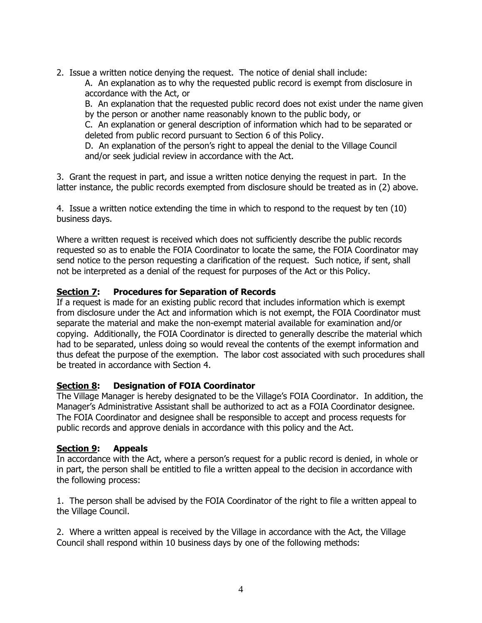2. Issue a written notice denying the request. The notice of denial shall include:

A. An explanation as to why the requested public record is exempt from disclosure in accordance with the Act, or

B. An explanation that the requested public record does not exist under the name given by the person or another name reasonably known to the public body, or

C. An explanation or general description of information which had to be separated or deleted from public record pursuant to Section 6 of this Policy.

D. An explanation of the person's right to appeal the denial to the Village Council and/or seek judicial review in accordance with the Act.

3. Grant the request in part, and issue a written notice denying the request in part. In the latter instance, the public records exempted from disclosure should be treated as in (2) above.

4. Issue a written notice extending the time in which to respond to the request by ten (10) business days.

Where a written request is received which does not sufficiently describe the public records requested so as to enable the FOIA Coordinator to locate the same, the FOIA Coordinator may send notice to the person requesting a clarification of the request. Such notice, if sent, shall not be interpreted as a denial of the request for purposes of the Act or this Policy.

# **Section 7: Procedures for Separation of Records**

If a request is made for an existing public record that includes information which is exempt from disclosure under the Act and information which is not exempt, the FOIA Coordinator must separate the material and make the non-exempt material available for examination and/or copying. Additionally, the FOIA Coordinator is directed to generally describe the material which had to be separated, unless doing so would reveal the contents of the exempt information and thus defeat the purpose of the exemption. The labor cost associated with such procedures shall be treated in accordance with Section 4.

## **Section 8: Designation of FOIA Coordinator**

The Village Manager is hereby designated to be the Village's FOIA Coordinator. In addition, the Manager's Administrative Assistant shall be authorized to act as a FOIA Coordinator designee. The FOIA Coordinator and designee shall be responsible to accept and process requests for public records and approve denials in accordance with this policy and the Act.

#### **Section 9: Appeals**

In accordance with the Act, where a person's request for a public record is denied, in whole or in part, the person shall be entitled to file a written appeal to the decision in accordance with the following process:

1. The person shall be advised by the FOIA Coordinator of the right to file a written appeal to the Village Council.

2. Where a written appeal is received by the Village in accordance with the Act, the Village Council shall respond within 10 business days by one of the following methods: